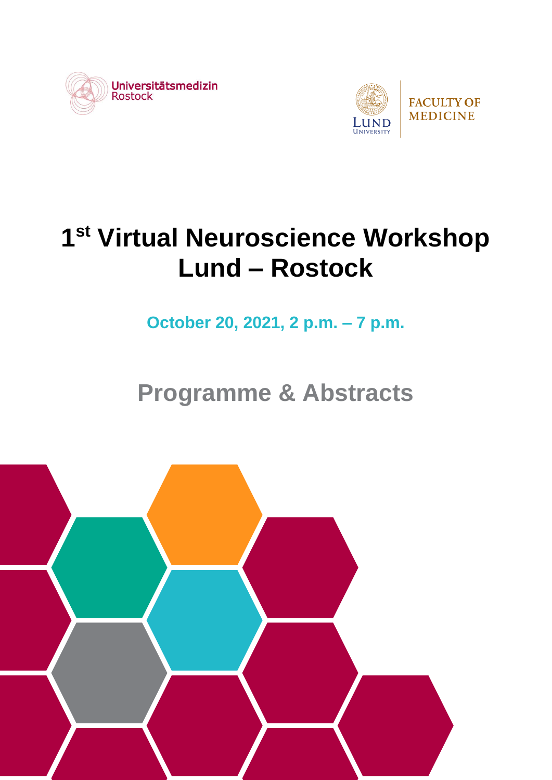



# **1 st Virtual Neuroscience Workshop Lund – Rostock**

**October 20, 2021, 2 p.m. – 7 p.m.**

## **Programme & Abstracts**

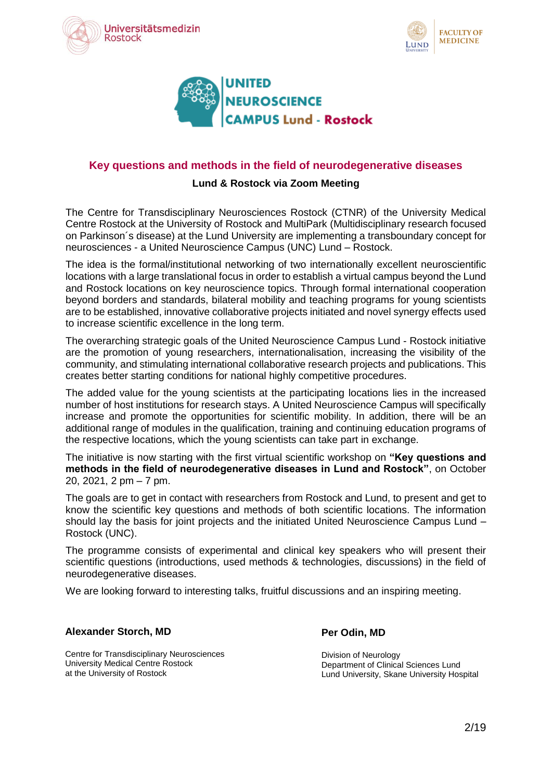





#### **Key questions and methods in the field of neurodegenerative diseases**

#### **Lund & Rostock via Zoom Meeting**

The Centre for Transdisciplinary Neurosciences Rostock (CTNR) of the University Medical Centre Rostock at the University of Rostock and MultiPark (Multidisciplinary research focused on Parkinson´s disease) at the Lund University are implementing a transboundary concept for neurosciences - a United Neuroscience Campus (UNC) Lund – Rostock.

The idea is the formal/institutional networking of two internationally excellent neuroscientific locations with a large translational focus in order to establish a virtual campus beyond the Lund and Rostock locations on key neuroscience topics. Through formal international cooperation beyond borders and standards, bilateral mobility and teaching programs for young scientists are to be established, innovative collaborative projects initiated and novel synergy effects used to increase scientific excellence in the long term.

The overarching strategic goals of the United Neuroscience Campus Lund - Rostock initiative are the promotion of young researchers, internationalisation, increasing the visibility of the community, and stimulating international collaborative research projects and publications. This creates better starting conditions for national highly competitive procedures.

The added value for the young scientists at the participating locations lies in the increased number of host institutions for research stays. A United Neuroscience Campus will specifically increase and promote the opportunities for scientific mobility. In addition, there will be an additional range of modules in the qualification, training and continuing education programs of the respective locations, which the young scientists can take part in exchange.

The initiative is now starting with the first virtual scientific workshop on **"Key questions and methods in the field of neurodegenerative diseases in Lund and Rostock"**, on October 20, 2021, 2 pm – 7 pm.

The goals are to get in contact with researchers from Rostock and Lund, to present and get to know the scientific key questions and methods of both scientific locations. The information should lay the basis for joint projects and the initiated United Neuroscience Campus Lund -Rostock (UNC).

The programme consists of experimental and clinical key speakers who will present their scientific questions (introductions, used methods & technologies, discussions) in the field of neurodegenerative diseases.

We are looking forward to interesting talks, fruitful discussions and an inspiring meeting.

#### **Alexander Storch, MD**

Centre for Transdisciplinary Neurosciences University Medical Centre Rostock at the University of Rostock

**Per Odin, MD**

Division of Neurology Department of Clinical Sciences Lund Lund University, Skane University Hospital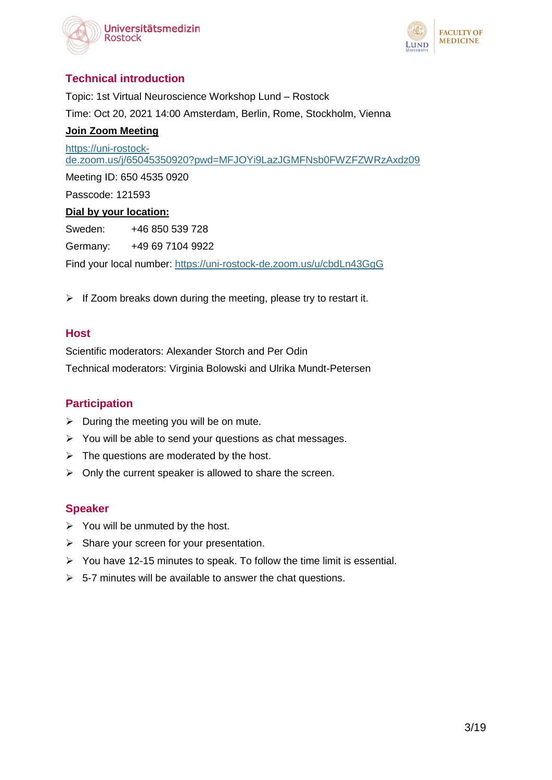



## **Technical introduction**

Topic: 1st Virtual Neuroscience Workshop Lund – Rostock Time: Oct 20, 2021 14:00 Amsterdam, Berlin, Rome, Stockholm, Vienna **Join Zoom Meeting** [https://uni-rostock](https://uni-rostock-de.zoom.us/j/65045350920?pwd=MFJOYi9LazJGMFNsb0FWZFZWRzAxdz09)[de.zoom.us/j/65045350920?pwd=MFJOYi9LazJGMFNsb0FWZFZWRzAxdz09](https://uni-rostock-de.zoom.us/j/65045350920?pwd=MFJOYi9LazJGMFNsb0FWZFZWRzAxdz09) Meeting ID: 650 4535 0920 Passcode: 121593 **Dial by your location:** Sweden: +46 850 539 728 Germany: +49 69 7104 9922 Find your local number:<https://uni-rostock-de.zoom.us/u/cbdLn43GgG>

 $\triangleright$  If Zoom breaks down during the meeting, please try to restart it.

#### **Host**

Scientific moderators: Alexander Storch and Per Odin Technical moderators: Virginia Bolowski and Ulrika Mundt-Petersen

#### **Participation**

- $\triangleright$  During the meeting you will be on mute.
- $\triangleright$  You will be able to send your questions as chat messages.
- $\triangleright$  The questions are moderated by the host.
- $\triangleright$  Only the current speaker is allowed to share the screen.

#### **Speaker**

- $\triangleright$  You will be unmuted by the host.
- $\triangleright$  Share your screen for your presentation.
- $\triangleright$  You have 12-15 minutes to speak. To follow the time limit is essential.
- $\geq$  5-7 minutes will be available to answer the chat questions.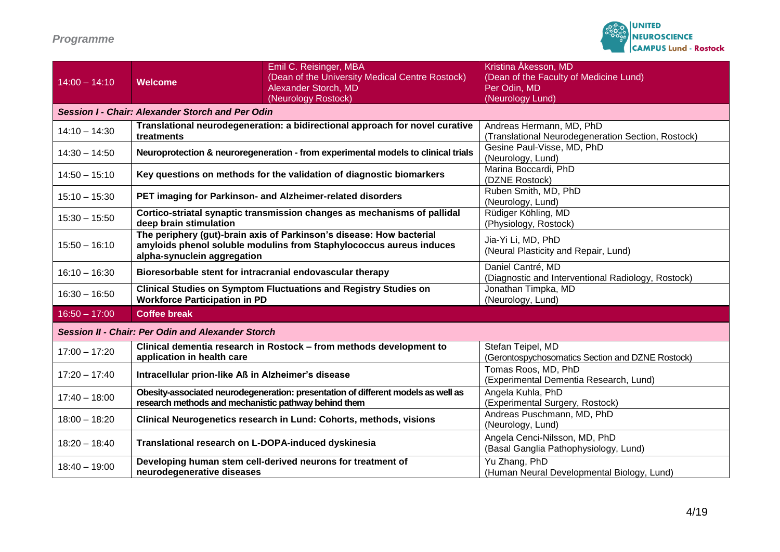## *Programme*

|                                                          |                                                                                                                                                                            | Emil C. Reisinger, MBA                          | Kristina Åkesson, MD                               |
|----------------------------------------------------------|----------------------------------------------------------------------------------------------------------------------------------------------------------------------------|-------------------------------------------------|----------------------------------------------------|
| $14:00 - 14:10$                                          | <b>Welcome</b>                                                                                                                                                             | (Dean of the University Medical Centre Rostock) | (Dean of the Faculty of Medicine Lund)             |
|                                                          |                                                                                                                                                                            | Alexander Storch, MD                            | Per Odin, MD                                       |
|                                                          |                                                                                                                                                                            | (Neurology Rostock)                             | (Neurology Lund)                                   |
| Session I - Chair: Alexander Storch and Per Odin         |                                                                                                                                                                            |                                                 |                                                    |
| $14:10 - 14:30$                                          | Translational neurodegeneration: a bidirectional approach for novel curative<br>treatments                                                                                 |                                                 | Andreas Hermann, MD, PhD                           |
|                                                          |                                                                                                                                                                            |                                                 | (Translational Neurodegeneration Section, Rostock) |
| $14:30 - 14:50$                                          | Neuroprotection & neuroregeneration - from experimental models to clinical trials                                                                                          |                                                 | Gesine Paul-Visse, MD, PhD                         |
|                                                          |                                                                                                                                                                            |                                                 | (Neurology, Lund)                                  |
| $14:50 - 15:10$                                          | Key questions on methods for the validation of diagnostic biomarkers                                                                                                       |                                                 | Marina Boccardi, PhD                               |
|                                                          |                                                                                                                                                                            |                                                 | (DZNE Rostock)                                     |
| $15:10 - 15:30$                                          | PET imaging for Parkinson- and Alzheimer-related disorders                                                                                                                 |                                                 | Ruben Smith, MD, PhD                               |
|                                                          |                                                                                                                                                                            |                                                 | (Neurology, Lund)                                  |
| $15:30 - 15:50$                                          | Cortico-striatal synaptic transmission changes as mechanisms of pallidal<br>deep brain stimulation                                                                         |                                                 | Rüdiger Köhling, MD                                |
|                                                          |                                                                                                                                                                            |                                                 | (Physiology, Rostock)                              |
| $15:50 - 16:10$                                          | The periphery (gut)-brain axis of Parkinson's disease: How bacterial<br>amyloids phenol soluble modulins from Staphylococcus aureus induces<br>alpha-synuclein aggregation |                                                 | Jia-Yi Li, MD, PhD                                 |
|                                                          |                                                                                                                                                                            |                                                 | (Neural Plasticity and Repair, Lund)               |
| Daniel Cantré, MD                                        |                                                                                                                                                                            |                                                 |                                                    |
| $16:10 - 16:30$                                          | Bioresorbable stent for intracranial endovascular therapy                                                                                                                  |                                                 | (Diagnostic and Interventional Radiology, Rostock) |
|                                                          | <b>Clinical Studies on Symptom Fluctuations and Registry Studies on</b><br><b>Workforce Participation in PD</b>                                                            |                                                 | Jonathan Timpka, MD                                |
| $16:30 - 16:50$                                          |                                                                                                                                                                            |                                                 | (Neurology, Lund)                                  |
| $16:50 - 17:00$                                          | <b>Coffee break</b>                                                                                                                                                        |                                                 |                                                    |
|                                                          |                                                                                                                                                                            |                                                 |                                                    |
| <b>Session II - Chair: Per Odin and Alexander Storch</b> |                                                                                                                                                                            |                                                 |                                                    |
| $17:00 - 17:20$                                          | Clinical dementia research in Rostock - from methods development to<br>application in health care                                                                          |                                                 | Stefan Teipel, MD                                  |
|                                                          |                                                                                                                                                                            |                                                 | (Gerontospychosomatics Section and DZNE Rostock)   |
| $17:20 - 17:40$                                          | Intracellular prion-like Aß in Alzheimer's disease                                                                                                                         | Tomas Roos, MD, PhD                             |                                                    |
|                                                          |                                                                                                                                                                            |                                                 | (Experimental Dementia Research, Lund)             |
| $17:40 - 18:00$                                          | Obesity-associated neurodegeneration: presentation of different models as well as<br>research methods and mechanistic pathway behind them                                  |                                                 | Angela Kuhla, PhD                                  |
|                                                          |                                                                                                                                                                            |                                                 | (Experimental Surgery, Rostock)                    |
| $18:00 - 18:20$                                          | Clinical Neurogenetics research in Lund: Cohorts, methods, visions                                                                                                         |                                                 | Andreas Puschmann, MD, PhD                         |
|                                                          |                                                                                                                                                                            |                                                 | (Neurology, Lund)                                  |
| $18:20 - 18:40$                                          | Translational research on L-DOPA-induced dyskinesia                                                                                                                        |                                                 | Angela Cenci-Nilsson, MD, PhD                      |
|                                                          |                                                                                                                                                                            |                                                 | (Basal Ganglia Pathophysiology, Lund)              |
| $18:40 - 19:00$                                          | Developing human stem cell-derived neurons for treatment of                                                                                                                |                                                 | Yu Zhang, PhD                                      |
|                                                          | neurodegenerative diseases                                                                                                                                                 |                                                 | (Human Neural Developmental Biology, Lund)         |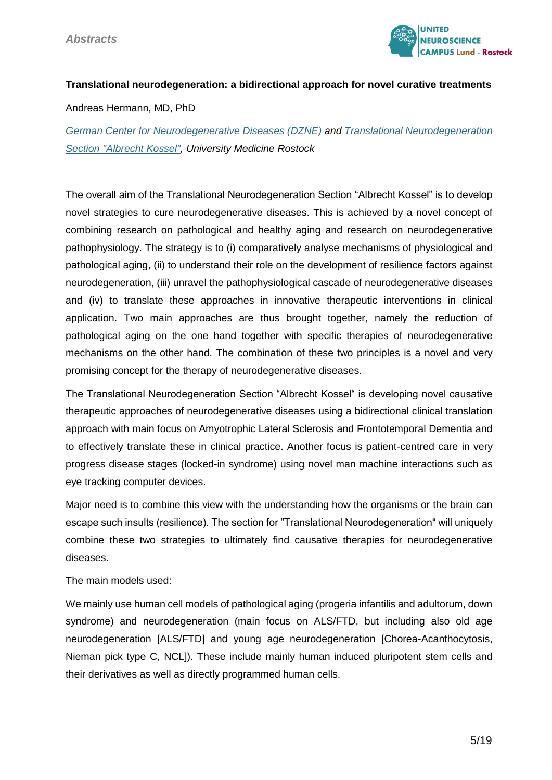

#### **Translational neurodegeneration: a bidirectional approach for novel curative treatments**

Andreas Hermann, MD, PhD

*[German Center for Neurodegenerative Diseases \(DZNE\)](https://www.dzne.de/en/research/research-areas/clinical-research/research-groups/hermann/research-areasfocus/) and [Translational Neurodegeneration](https://albrecht-kossel-institut.med.uni-rostock.de/)  [Section "Albrecht Kossel",](https://albrecht-kossel-institut.med.uni-rostock.de/) University Medicine Rostock*

The overall aim of the Translational Neurodegeneration Section "Albrecht Kossel" is to develop novel strategies to cure neurodegenerative diseases. This is achieved by a novel concept of combining research on pathological and healthy aging and research on neurodegenerative pathophysiology. The strategy is to (i) comparatively analyse mechanisms of physiological and pathological aging, (ii) to understand their role on the development of resilience factors against neurodegeneration, (iii) unravel the pathophysiological cascade of neurodegenerative diseases and (iv) to translate these approaches in innovative therapeutic interventions in clinical application. Two main approaches are thus brought together, namely the reduction of pathological aging on the one hand together with specific therapies of neurodegenerative mechanisms on the other hand. The combination of these two principles is a novel and very promising concept for the therapy of neurodegenerative diseases.

The Translational Neurodegeneration Section "Albrecht Kossel" is developing novel causative therapeutic approaches of neurodegenerative diseases using a bidirectional clinical translation approach with main focus on Amyotrophic Lateral Sclerosis and Frontotemporal Dementia and to effectively translate these in clinical practice. Another focus is patient-centred care in very progress disease stages (locked-in syndrome) using novel man machine interactions such as eye tracking computer devices.

Major need is to combine this view with the understanding how the organisms or the brain can escape such insults (resilience). The section for "Translational Neurodegeneration" will uniquely combine these two strategies to ultimately find causative therapies for neurodegenerative diseases.

#### The main models used:

We mainly use human cell models of pathological aging (progeria infantilis and adultorum, down syndrome) and neurodegeneration (main focus on ALS/FTD, but including also old age neurodegeneration [ALS/FTD] and young age neurodegeneration [Chorea-Acanthocytosis, Nieman pick type C, NCL]). These include mainly human induced pluripotent stem cells and their derivatives as well as directly programmed human cells.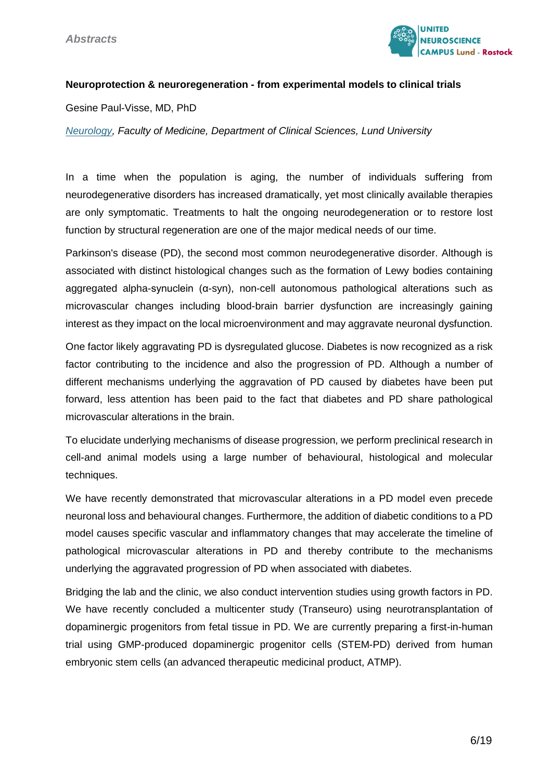

#### **Neuroprotection & neuroregeneration - from experimental models to clinical trials**

Gesine Paul-Visse, MD, PhD

*[Neurology,](https://portal.research.lu.se/portal/en/persons/gesine-paulvisse(058549e9-2a98-46e9-8324-b2ea6bf784ce).html) Faculty of Medicine, Department of Clinical Sciences, Lund University*

In a time when the population is aging, the number of individuals suffering from neurodegenerative disorders has increased dramatically, yet most clinically available therapies are only symptomatic. Treatments to halt the ongoing neurodegeneration or to restore lost function by structural regeneration are one of the major medical needs of our time.

Parkinson's disease (PD), the second most common neurodegenerative disorder. Although is associated with distinct histological changes such as the formation of Lewy bodies containing aggregated alpha-synuclein (α-syn), non-cell autonomous pathological alterations such as microvascular changes including blood-brain barrier dysfunction are increasingly gaining interest as they impact on the local microenvironment and may aggravate neuronal dysfunction.

One factor likely aggravating PD is dysregulated glucose. Diabetes is now recognized as a risk factor contributing to the incidence and also the progression of PD. Although a number of different mechanisms underlying the aggravation of PD caused by diabetes have been put forward, less attention has been paid to the fact that diabetes and PD share pathological microvascular alterations in the brain.

To elucidate underlying mechanisms of disease progression, we perform preclinical research in cell-and animal models using a large number of behavioural, histological and molecular techniques.

We have recently demonstrated that microvascular alterations in a PD model even precede neuronal loss and behavioural changes. Furthermore, the addition of diabetic conditions to a PD model causes specific vascular and inflammatory changes that may accelerate the timeline of pathological microvascular alterations in PD and thereby contribute to the mechanisms underlying the aggravated progression of PD when associated with diabetes.

Bridging the lab and the clinic, we also conduct intervention studies using growth factors in PD. We have recently concluded a multicenter study (Transeuro) using neurotransplantation of dopaminergic progenitors from fetal tissue in PD. We are currently preparing a first-in-human trial using GMP-produced dopaminergic progenitor cells (STEM-PD) derived from human embryonic stem cells (an advanced therapeutic medicinal product, ATMP).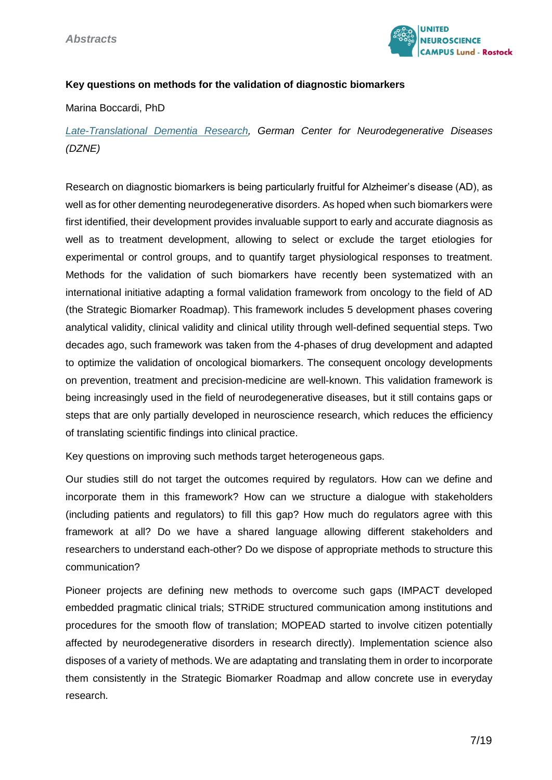

#### **Key questions on methods for the validation of diagnostic biomarkers**

#### Marina Boccardi, PhD

## *[Late-Translational Dementia Research,](https://www.dzne.de/forschung/forschungsbereiche/versorgungsforschung/forschungsgruppen/boccardi/forschungsschwerpunkte/) German Center for Neurodegenerative Diseases (DZNE)*

Research on diagnostic biomarkers is being particularly fruitful for Alzheimer's disease (AD), as well as for other dementing neurodegenerative disorders. As hoped when such biomarkers were first identified, their development provides invaluable support to early and accurate diagnosis as well as to treatment development, allowing to select or exclude the target etiologies for experimental or control groups, and to quantify target physiological responses to treatment. Methods for the validation of such biomarkers have recently been systematized with an international initiative adapting a formal validation framework from oncology to the field of AD (the Strategic Biomarker Roadmap). This framework includes 5 development phases covering analytical validity, clinical validity and clinical utility through well-defined sequential steps. Two decades ago, such framework was taken from the 4-phases of drug development and adapted to optimize the validation of oncological biomarkers. The consequent oncology developments on prevention, treatment and precision-medicine are well-known. This validation framework is being increasingly used in the field of neurodegenerative diseases, but it still contains gaps or steps that are only partially developed in neuroscience research, which reduces the efficiency of translating scientific findings into clinical practice.

Key questions on improving such methods target heterogeneous gaps.

Our studies still do not target the outcomes required by regulators. How can we define and incorporate them in this framework? How can we structure a dialogue with stakeholders (including patients and regulators) to fill this gap? How much do regulators agree with this framework at all? Do we have a shared language allowing different stakeholders and researchers to understand each-other? Do we dispose of appropriate methods to structure this communication?

Pioneer projects are defining new methods to overcome such gaps (IMPACT developed embedded pragmatic clinical trials; STRiDE structured communication among institutions and procedures for the smooth flow of translation; MOPEAD started to involve citizen potentially affected by neurodegenerative disorders in research directly). Implementation science also disposes of a variety of methods. We are adaptating and translating them in order to incorporate them consistently in the Strategic Biomarker Roadmap and allow concrete use in everyday research.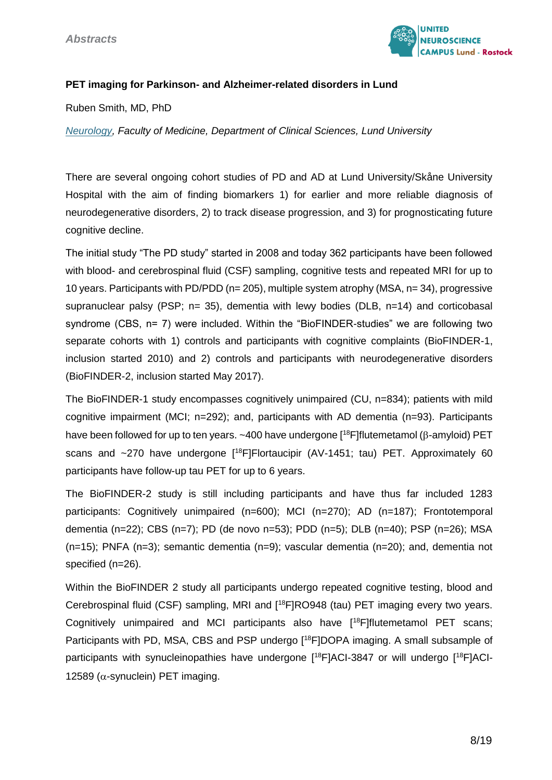

#### **PET imaging for Parkinson- and Alzheimer-related disorders in Lund**

Ruben Smith, MD, PhD

*[Neurology,](https://portal.research.lu.se/portal/en/persons/ruben-smith(1b7a2260-d32a-4949-acba-135fce1e8139).html) Faculty of Medicine, Department of Clinical Sciences, Lund University*

There are several ongoing cohort studies of PD and AD at Lund University/Skåne University Hospital with the aim of finding biomarkers 1) for earlier and more reliable diagnosis of neurodegenerative disorders, 2) to track disease progression, and 3) for prognosticating future cognitive decline.

The initial study "The PD study" started in 2008 and today 362 participants have been followed with blood- and cerebrospinal fluid (CSF) sampling, cognitive tests and repeated MRI for up to 10 years. Participants with PD/PDD (n= 205), multiple system atrophy (MSA, n= 34), progressive supranuclear palsy (PSP;  $n= 35$ ), dementia with lewy bodies (DLB,  $n=14$ ) and corticobasal syndrome (CBS, n= 7) were included. Within the "BioFINDER-studies" we are following two separate cohorts with 1) controls and participants with cognitive complaints (BioFINDER-1, inclusion started 2010) and 2) controls and participants with neurodegenerative disorders (BioFINDER-2, inclusion started May 2017).

The BioFINDER-1 study encompasses cognitively unimpaired (CU, n=834); patients with mild cognitive impairment (MCI; n=292); and, participants with AD dementia (n=93). Participants have been followed for up to ten years.  $~100$  have undergone  $[18F]$ flutemetamol ( $\beta$ -amyloid) PET scans and  $\sim$ 270 have undergone  $[18F]$ Flortaucipir (AV-1451; tau) PET. Approximately 60 participants have follow-up tau PET for up to 6 years.

The BioFINDER-2 study is still including participants and have thus far included 1283 participants: Cognitively unimpaired (n=600); MCI (n=270); AD (n=187); Frontotemporal dementia (n=22); CBS (n=7); PD (de novo n=53); PDD (n=5); DLB (n=40); PSP (n=26); MSA (n=15); PNFA (n=3); semantic dementia (n=9); vascular dementia (n=20); and, dementia not specified (n=26).

Within the BioFINDER 2 study all participants undergo repeated cognitive testing, blood and Cerebrospinal fluid (CSF) sampling, MRI and [<sup>18</sup>F]RO948 (tau) PET imaging every two years. Cognitively unimpaired and MCI participants also have [<sup>18</sup>F]flutemetamol PET scans; Participants with PD, MSA, CBS and PSP undergo [<sup>18</sup>F]DOPA imaging. A small subsample of participants with synucleinopathies have undergone [18F]ACI-3847 or will undergo [18F]ACI-12589 ( $\alpha$ -synuclein) PET imaging.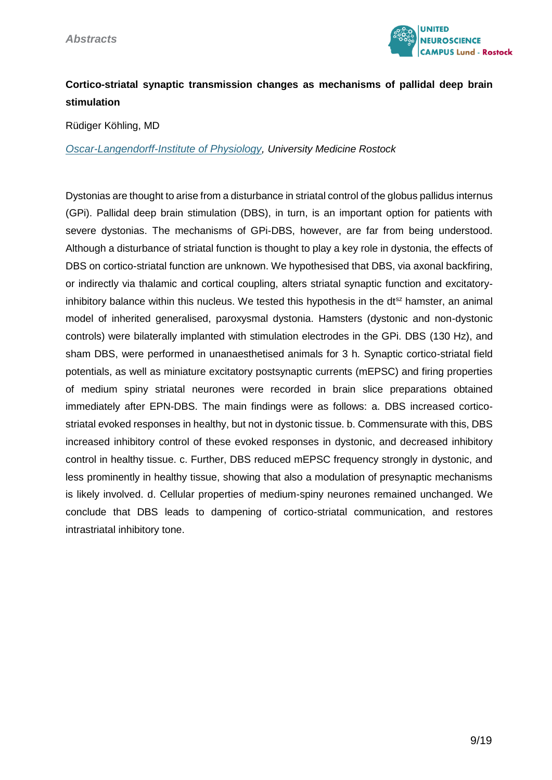

## **Cortico-striatal synaptic transmission changes as mechanisms of pallidal deep brain stimulation**

Rüdiger Köhling, MD

*[Oscar-Langendorff-Institute of Physiology,](https://physiologie.med.uni-rostock.de/) University Medicine Rostock*

Dystonias are thought to arise from a disturbance in striatal control of the globus pallidus internus (GPi). Pallidal deep brain stimulation (DBS), in turn, is an important option for patients with severe dystonias. The mechanisms of GPi-DBS, however, are far from being understood. Although a disturbance of striatal function is thought to play a key role in dystonia, the effects of DBS on cortico-striatal function are unknown. We hypothesised that DBS, via axonal backfiring, or indirectly via thalamic and cortical coupling, alters striatal synaptic function and excitatoryinhibitory balance within this nucleus. We tested this hypothesis in the  $dt^{sz}$  hamster, an animal model of inherited generalised, paroxysmal dystonia. Hamsters (dystonic and non-dystonic controls) were bilaterally implanted with stimulation electrodes in the GPi. DBS (130 Hz), and sham DBS, were performed in unanaesthetised animals for 3 h. Synaptic cortico-striatal field potentials, as well as miniature excitatory postsynaptic currents (mEPSC) and firing properties of medium spiny striatal neurones were recorded in brain slice preparations obtained immediately after EPN-DBS. The main findings were as follows: a. DBS increased corticostriatal evoked responses in healthy, but not in dystonic tissue. b. Commensurate with this, DBS increased inhibitory control of these evoked responses in dystonic, and decreased inhibitory control in healthy tissue. c. Further, DBS reduced mEPSC frequency strongly in dystonic, and less prominently in healthy tissue, showing that also a modulation of presynaptic mechanisms is likely involved. d. Cellular properties of medium-spiny neurones remained unchanged. We conclude that DBS leads to dampening of cortico-striatal communication, and restores intrastriatal inhibitory tone.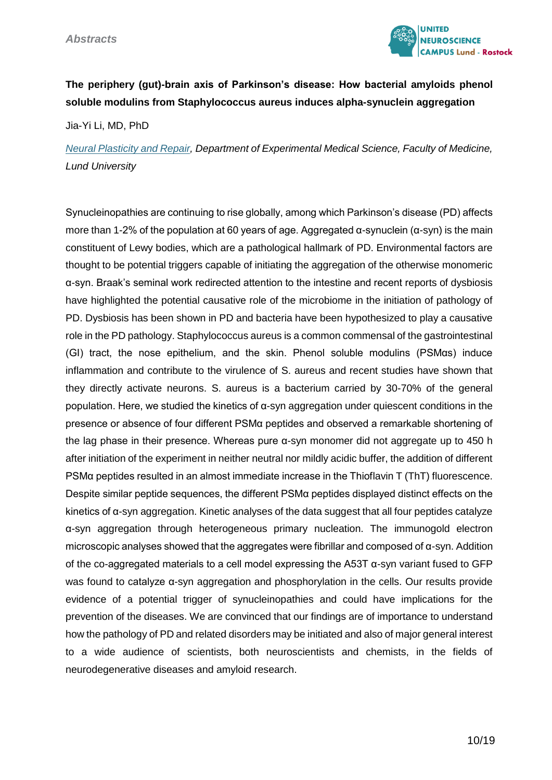

## **The periphery (gut)-brain axis of Parkinson's disease: How bacterial amyloids phenol soluble modulins from Staphylococcus aureus induces alpha-synuclein aggregation**

Jia-Yi Li, MD, PhD

*[Neural Plasticity and Repair,](https://www.lunduniversity.lu.se/lucat/group/v1000391) Department of Experimental Medical Science, Faculty of Medicine, Lund University*

Synucleinopathies are continuing to rise globally, among which Parkinson's disease (PD) affects more than 1-2% of the population at 60 years of age. Aggregated α-synuclein (α-syn) is the main constituent of Lewy bodies, which are a pathological hallmark of PD. Environmental factors are thought to be potential triggers capable of initiating the aggregation of the otherwise monomeric α-syn. Braak's seminal work redirected attention to the intestine and recent reports of dysbiosis have highlighted the potential causative role of the microbiome in the initiation of pathology of PD. Dysbiosis has been shown in PD and bacteria have been hypothesized to play a causative role in the PD pathology. Staphylococcus aureus is a common commensal of the gastrointestinal (GI) tract, the nose epithelium, and the skin. Phenol soluble modulins (PSMαs) induce inflammation and contribute to the virulence of S. aureus and recent studies have shown that they directly activate neurons. S. aureus is a bacterium carried by 30-70% of the general population. Here, we studied the kinetics of α-syn aggregation under quiescent conditions in the presence or absence of four different PSMα peptides and observed a remarkable shortening of the lag phase in their presence. Whereas pure α-syn monomer did not aggregate up to 450 h after initiation of the experiment in neither neutral nor mildly acidic buffer, the addition of different PSMα peptides resulted in an almost immediate increase in the Thioflavin T (ThT) fluorescence. Despite similar peptide sequences, the different PSMα peptides displayed distinct effects on the kinetics of α-syn aggregation. Kinetic analyses of the data suggest that all four peptides catalyze α-syn aggregation through heterogeneous primary nucleation. The immunogold electron microscopic analyses showed that the aggregates were fibrillar and composed of α-syn. Addition of the co-aggregated materials to a cell model expressing the A53T α-syn variant fused to GFP was found to catalyze α-syn aggregation and phosphorylation in the cells. Our results provide evidence of a potential trigger of synucleinopathies and could have implications for the prevention of the diseases. We are convinced that our findings are of importance to understand how the pathology of PD and related disorders may be initiated and also of major general interest to a wide audience of scientists, both neuroscientists and chemists, in the fields of neurodegenerative diseases and amyloid research.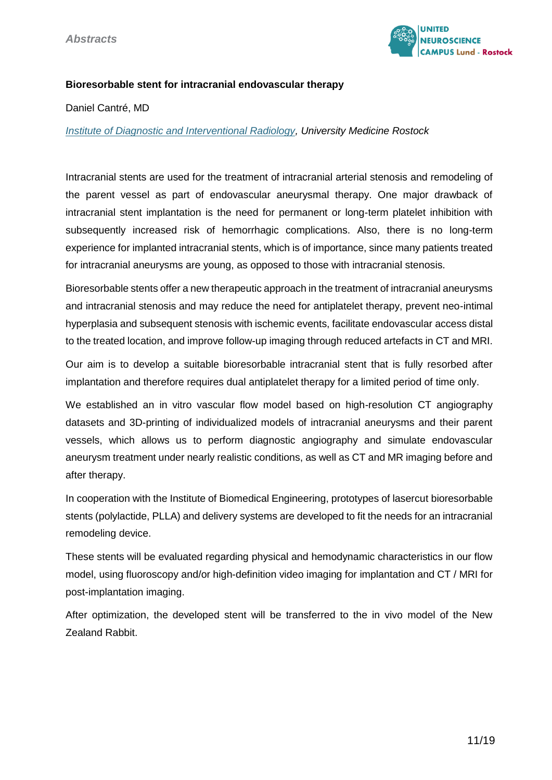

#### **Bioresorbable stent for intracranial endovascular therapy**

Daniel Cantré, MD

*[Institute of Diagnostic and Interventional Radiology,](https://radiologie.med.uni-rostock.de/) University Medicine Rostock*

Intracranial stents are used for the treatment of intracranial arterial stenosis and remodeling of the parent vessel as part of endovascular aneurysmal therapy. One major drawback of intracranial stent implantation is the need for permanent or long-term platelet inhibition with subsequently increased risk of hemorrhagic complications. Also, there is no long-term experience for implanted intracranial stents, which is of importance, since many patients treated for intracranial aneurysms are young, as opposed to those with intracranial stenosis.

Bioresorbable stents offer a new therapeutic approach in the treatment of intracranial aneurysms and intracranial stenosis and may reduce the need for antiplatelet therapy, prevent neo-intimal hyperplasia and subsequent stenosis with ischemic events, facilitate endovascular access distal to the treated location, and improve follow-up imaging through reduced artefacts in CT and MRI.

Our aim is to develop a suitable bioresorbable intracranial stent that is fully resorbed after implantation and therefore requires dual antiplatelet therapy for a limited period of time only.

We established an in vitro vascular flow model based on high-resolution CT angiography datasets and 3D-printing of individualized models of intracranial aneurysms and their parent vessels, which allows us to perform diagnostic angiography and simulate endovascular aneurysm treatment under nearly realistic conditions, as well as CT and MR imaging before and after therapy.

In cooperation with the Institute of Biomedical Engineering, prototypes of lasercut bioresorbable stents (polylactide, PLLA) and delivery systems are developed to fit the needs for an intracranial remodeling device.

These stents will be evaluated regarding physical and hemodynamic characteristics in our flow model, using fluoroscopy and/or high-definition video imaging for implantation and CT / MRI for post-implantation imaging.

After optimization, the developed stent will be transferred to the in vivo model of the New Zealand Rabbit.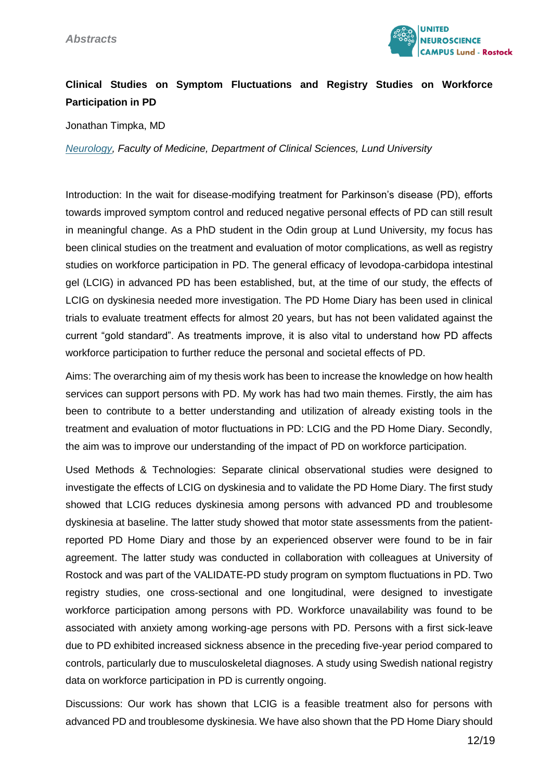

## **Clinical Studies on Symptom Fluctuations and Registry Studies on Workforce Participation in PD**

Jonathan Timpka, MD

*[Neurology,](file:///D:/Virginia%20Bolowski/CTNR/United%20Neuroscience%20Campus_UNC/Virtual%20Science%20Meeting%2020.10.2021/Jonathan%20Timpka) Faculty of Medicine, Department of Clinical Sciences, Lund University*

Introduction: In the wait for disease-modifying treatment for Parkinson's disease (PD), efforts towards improved symptom control and reduced negative personal effects of PD can still result in meaningful change. As a PhD student in the Odin group at Lund University, my focus has been clinical studies on the treatment and evaluation of motor complications, as well as registry studies on workforce participation in PD. The general efficacy of levodopa-carbidopa intestinal gel (LCIG) in advanced PD has been established, but, at the time of our study, the effects of LCIG on dyskinesia needed more investigation. The PD Home Diary has been used in clinical trials to evaluate treatment effects for almost 20 years, but has not been validated against the current "gold standard". As treatments improve, it is also vital to understand how PD affects workforce participation to further reduce the personal and societal effects of PD.

Aims: The overarching aim of my thesis work has been to increase the knowledge on how health services can support persons with PD. My work has had two main themes. Firstly, the aim has been to contribute to a better understanding and utilization of already existing tools in the treatment and evaluation of motor fluctuations in PD: LCIG and the PD Home Diary. Secondly, the aim was to improve our understanding of the impact of PD on workforce participation.

Used Methods & Technologies: Separate clinical observational studies were designed to investigate the effects of LCIG on dyskinesia and to validate the PD Home Diary. The first study showed that LCIG reduces dyskinesia among persons with advanced PD and troublesome dyskinesia at baseline. The latter study showed that motor state assessments from the patientreported PD Home Diary and those by an experienced observer were found to be in fair agreement. The latter study was conducted in collaboration with colleagues at University of Rostock and was part of the VALIDATE-PD study program on symptom fluctuations in PD. Two registry studies, one cross-sectional and one longitudinal, were designed to investigate workforce participation among persons with PD. Workforce unavailability was found to be associated with anxiety among working-age persons with PD. Persons with a first sick-leave due to PD exhibited increased sickness absence in the preceding five-year period compared to controls, particularly due to musculoskeletal diagnoses. A study using Swedish national registry data on workforce participation in PD is currently ongoing.

Discussions: Our work has shown that LCIG is a feasible treatment also for persons with advanced PD and troublesome dyskinesia. We have also shown that the PD Home Diary should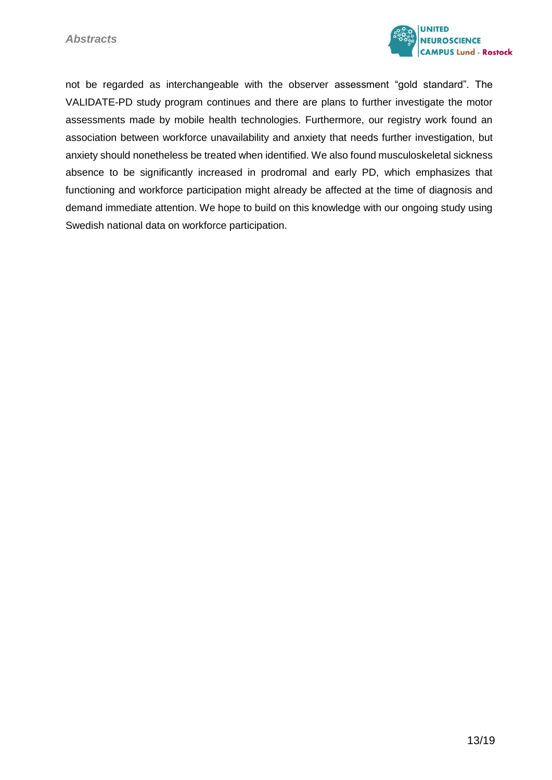

not be regarded as interchangeable with the observer assessment "gold standard". The VALIDATE-PD study program continues and there are plans to further investigate the motor assessments made by mobile health technologies. Furthermore, our registry work found an association between workforce unavailability and anxiety that needs further investigation, but anxiety should nonetheless be treated when identified. We also found musculoskeletal sickness absence to be significantly increased in prodromal and early PD, which emphasizes that functioning and workforce participation might already be affected at the time of diagnosis and demand immediate attention. We hope to build on this knowledge with our ongoing study using Swedish national data on workforce participation.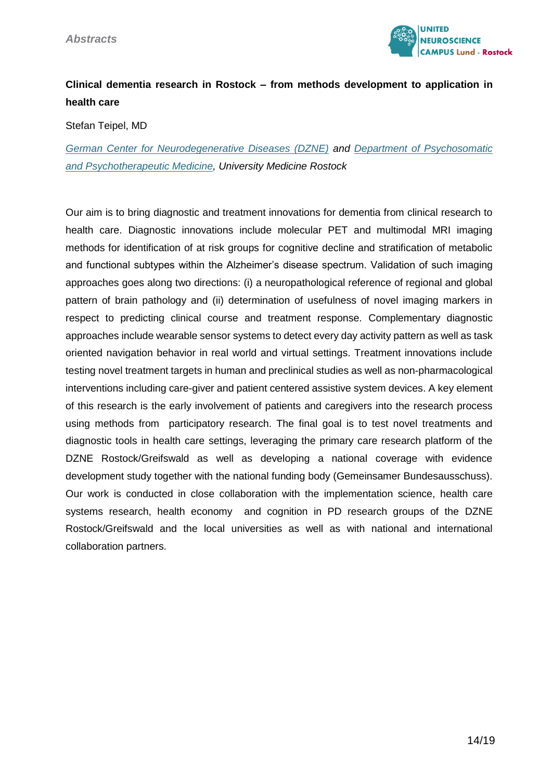

## **Clinical dementia research in Rostock – from methods development to application in health care**

Stefan Teipel, MD

*[German Center for Neurodegenerative Diseases \(DZNE\)](https://www.dzne.de/forschung/forschungsbereiche/klinische-forschung/forschungsgruppen/teipel/forschungsschwerpunkte/) and [Department of Psychosomatic](https://kpm.med.uni-rostock.de/)  [and Psychotherapeutic Medicine,](https://kpm.med.uni-rostock.de/) University Medicine Rostock*

Our aim is to bring diagnostic and treatment innovations for dementia from clinical research to health care. Diagnostic innovations include molecular PET and multimodal MRI imaging methods for identification of at risk groups for cognitive decline and stratification of metabolic and functional subtypes within the Alzheimer's disease spectrum. Validation of such imaging approaches goes along two directions: (i) a neuropathological reference of regional and global pattern of brain pathology and (ii) determination of usefulness of novel imaging markers in respect to predicting clinical course and treatment response. Complementary diagnostic approaches include wearable sensor systems to detect every day activity pattern as well as task oriented navigation behavior in real world and virtual settings. Treatment innovations include testing novel treatment targets in human and preclinical studies as well as non-pharmacological interventions including care-giver and patient centered assistive system devices. A key element of this research is the early involvement of patients and caregivers into the research process using methods from participatory research. The final goal is to test novel treatments and diagnostic tools in health care settings, leveraging the primary care research platform of the DZNE Rostock/Greifswald as well as developing a national coverage with evidence development study together with the national funding body (Gemeinsamer Bundesausschuss). Our work is conducted in close collaboration with the implementation science, health care systems research, health economy and cognition in PD research groups of the DZNE Rostock/Greifswald and the local universities as well as with national and international collaboration partners.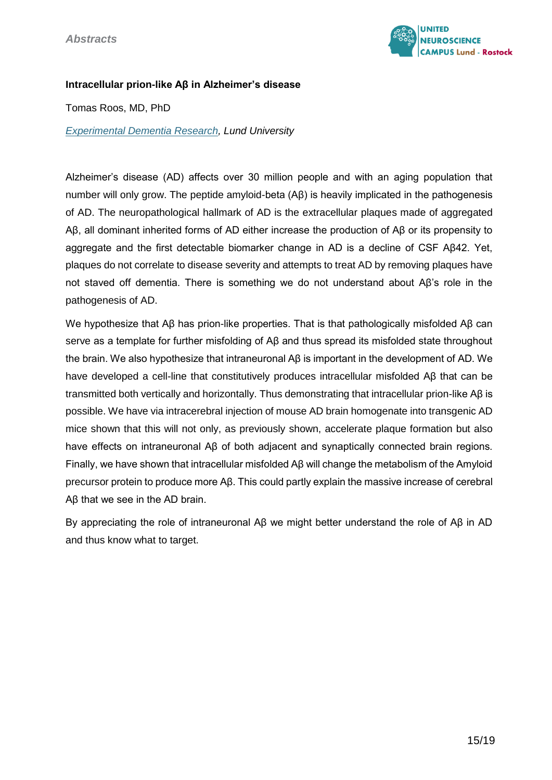

#### **Intracellular prion-like Aβ in Alzheimer's disease**

Tomas Roos, MD, PhD

*[Experimental Dementia Research,](https://portal.research.lu.se/portal/en/persons/tomas-roos(57a9b5d1-effc-40c1-b70f-2a8d17828e9c).html) Lund University*

Alzheimer's disease (AD) affects over 30 million people and with an aging population that number will only grow. The peptide amyloid-beta (Aβ) is heavily implicated in the pathogenesis of AD. The neuropathological hallmark of AD is the extracellular plaques made of aggregated Aβ, all dominant inherited forms of AD either increase the production of Aβ or its propensity to aggregate and the first detectable biomarker change in AD is a decline of CSF Aβ42. Yet, plaques do not correlate to disease severity and attempts to treat AD by removing plaques have not staved off dementia. There is something we do not understand about Aβ's role in the pathogenesis of AD.

We hypothesize that Aβ has prion-like properties. That is that pathologically misfolded Aβ can serve as a template for further misfolding of Aβ and thus spread its misfolded state throughout the brain. We also hypothesize that intraneuronal Aβ is important in the development of AD. We have developed a cell-line that constitutively produces intracellular misfolded Aβ that can be transmitted both vertically and horizontally. Thus demonstrating that intracellular prion-like Aβ is possible. We have via intracerebral injection of mouse AD brain homogenate into transgenic AD mice shown that this will not only, as previously shown, accelerate plaque formation but also have effects on intraneuronal Aβ of both adjacent and synaptically connected brain regions. Finally, we have shown that intracellular misfolded Aβ will change the metabolism of the Amyloid precursor protein to produce more Aβ. This could partly explain the massive increase of cerebral Aβ that we see in the AD brain.

By appreciating the role of intraneuronal Aβ we might better understand the role of Aβ in AD and thus know what to target.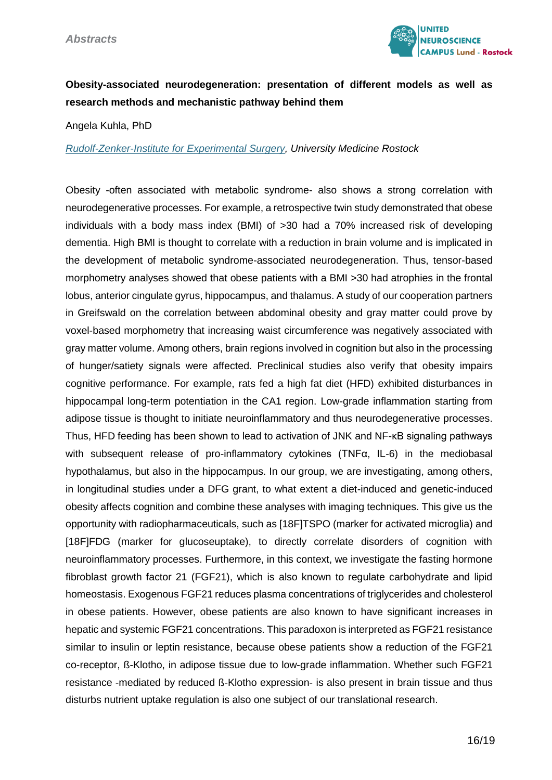

## **Obesity-associated neurodegeneration: presentation of different models as well as research methods and mechanistic pathway behind them**

Angela Kuhla, PhD

*[Rudolf-Zenker-Institute for Experimental Surgery,](https://experimentelle-chirurgie.med.uni-rostock.de/) University Medicine Rostock*

Obesity -often associated with metabolic syndrome- also shows a strong correlation with neurodegenerative processes. For example, a retrospective twin study demonstrated that obese individuals with a body mass index (BMI) of >30 had a 70% increased risk of developing dementia. High BMI is thought to correlate with a reduction in brain volume and is implicated in the development of metabolic syndrome-associated neurodegeneration. Thus, tensor-based morphometry analyses showed that obese patients with a BMI >30 had atrophies in the frontal lobus, anterior cingulate gyrus, hippocampus, and thalamus. A study of our cooperation partners in Greifswald on the correlation between abdominal obesity and gray matter could prove by voxel-based morphometry that increasing waist circumference was negatively associated with gray matter volume. Among others, brain regions involved in cognition but also in the processing of hunger/satiety signals were affected. Preclinical studies also verify that obesity impairs cognitive performance. For example, rats fed a high fat diet (HFD) exhibited disturbances in hippocampal long-term potentiation in the CA1 region. Low-grade inflammation starting from adipose tissue is thought to initiate neuroinflammatory and thus neurodegenerative processes. Thus, HFD feeding has been shown to lead to activation of JNK and NF-κB signaling pathways with subsequent release of pro-inflammatory cytokines (TNFα, IL-6) in the mediobasal hypothalamus, but also in the hippocampus. In our group, we are investigating, among others, in longitudinal studies under a DFG grant, to what extent a diet-induced and genetic-induced obesity affects cognition and combine these analyses with imaging techniques. This give us the opportunity with radiopharmaceuticals, such as [18F]TSPO (marker for activated microglia) and [18F]FDG (marker for glucoseuptake), to directly correlate disorders of cognition with neuroinflammatory processes. Furthermore, in this context, we investigate the fasting hormone fibroblast growth factor 21 (FGF21), which is also known to regulate carbohydrate and lipid homeostasis. Exogenous FGF21 reduces plasma concentrations of triglycerides and cholesterol in obese patients. However, obese patients are also known to have significant increases in hepatic and systemic FGF21 concentrations. This paradoxon is interpreted as FGF21 resistance similar to insulin or leptin resistance, because obese patients show a reduction of the FGF21 co-receptor, ß-Klotho, in adipose tissue due to low-grade inflammation. Whether such FGF21 resistance -mediated by reduced ß-Klotho expression- is also present in brain tissue and thus disturbs nutrient uptake regulation is also one subject of our translational research.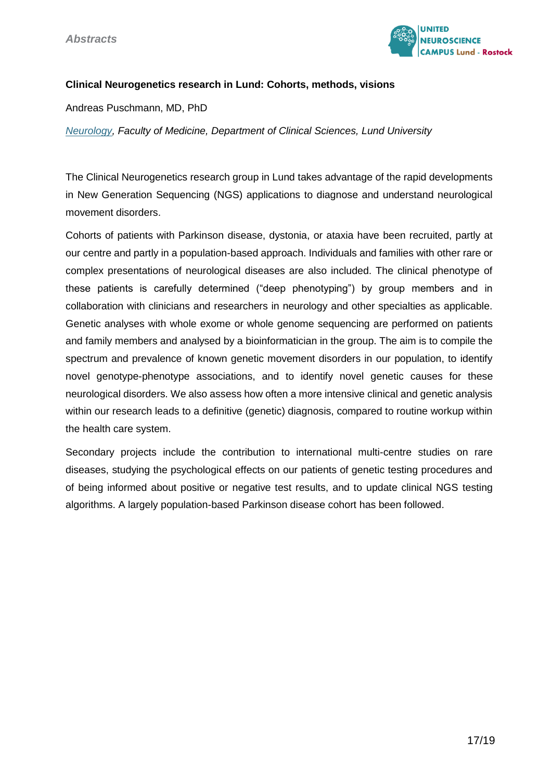

#### **Clinical Neurogenetics research in Lund: Cohorts, methods, visions**

Andreas Puschmann, MD, PhD

*[Neurology,](https://portal.research.lu.se/portal/en/persons/andreas-puschmann(c794039b-9611-4930-b773-a545aa9783b9).html) Faculty of Medicine, Department of Clinical Sciences, Lund University*

The Clinical Neurogenetics research group in Lund takes advantage of the rapid developments in New Generation Sequencing (NGS) applications to diagnose and understand neurological movement disorders.

Cohorts of patients with Parkinson disease, dystonia, or ataxia have been recruited, partly at our centre and partly in a population-based approach. Individuals and families with other rare or complex presentations of neurological diseases are also included. The clinical phenotype of these patients is carefully determined ("deep phenotyping") by group members and in collaboration with clinicians and researchers in neurology and other specialties as applicable. Genetic analyses with whole exome or whole genome sequencing are performed on patients and family members and analysed by a bioinformatician in the group. The aim is to compile the spectrum and prevalence of known genetic movement disorders in our population, to identify novel genotype-phenotype associations, and to identify novel genetic causes for these neurological disorders. We also assess how often a more intensive clinical and genetic analysis within our research leads to a definitive (genetic) diagnosis, compared to routine workup within the health care system.

Secondary projects include the contribution to international multi-centre studies on rare diseases, studying the psychological effects on our patients of genetic testing procedures and of being informed about positive or negative test results, and to update clinical NGS testing algorithms. A largely population-based Parkinson disease cohort has been followed.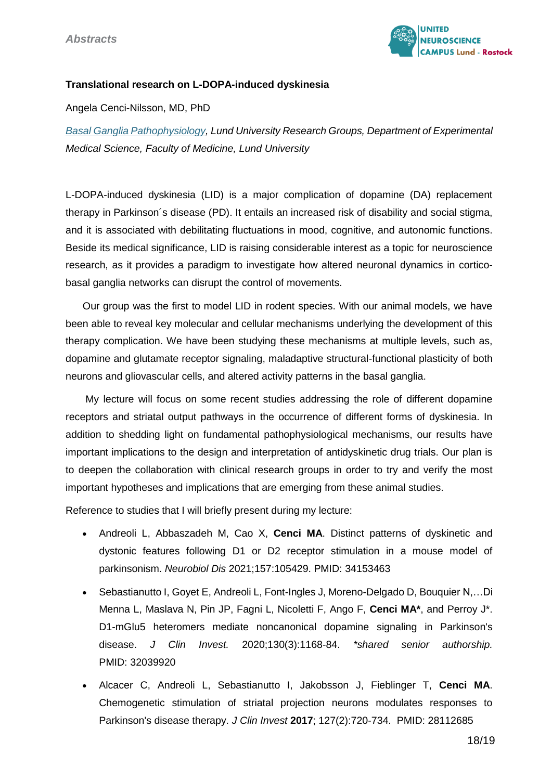

#### **Translational research on L-DOPA-induced dyskinesia**

Angela Cenci-Nilsson, MD, PhD

*[Basal Ganglia Pathophysiology,](https://portal.research.lu.se/portal/en/organisations-researchgroups/basal-ganglia-pathophysiology(18b2813a-5abb-4b2d-9c3f-7cde7eaf33a5).html) Lund University Research Groups, Department of Experimental Medical Science, Faculty of Medicine, Lund University*

L-DOPA-induced dyskinesia (LID) is a major complication of dopamine (DA) replacement therapy in Parkinson´s disease (PD). It entails an increased risk of disability and social stigma, and it is associated with debilitating fluctuations in mood, cognitive, and autonomic functions. Beside its medical significance, LID is raising considerable interest as a topic for neuroscience research, as it provides a paradigm to investigate how altered neuronal dynamics in corticobasal ganglia networks can disrupt the control of movements.

 Our group was the first to model LID in rodent species. With our animal models, we have been able to reveal key molecular and cellular mechanisms underlying the development of this therapy complication. We have been studying these mechanisms at multiple levels, such as, dopamine and glutamate receptor signaling, maladaptive structural-functional plasticity of both neurons and gliovascular cells, and altered activity patterns in the basal ganglia.

 My lecture will focus on some recent studies addressing the role of different dopamine receptors and striatal output pathways in the occurrence of different forms of dyskinesia. In addition to shedding light on fundamental pathophysiological mechanisms, our results have important implications to the design and interpretation of antidyskinetic drug trials. Our plan is to deepen the collaboration with clinical research groups in order to try and verify the most important hypotheses and implications that are emerging from these animal studies.

Reference to studies that I will briefly present during my lecture:

- Andreoli L, Abbaszadeh M, Cao X, **Cenci MA**. Distinct patterns of dyskinetic and dystonic features following D1 or D2 receptor stimulation in a mouse model of parkinsonism. *Neurobiol Dis* 2021;157:105429. PMID: 34153463
- Sebastianutto I, Goyet E, Andreoli L, Font-Ingles J, Moreno-Delgado D, Bouquier N,…Di Menna L, Maslava N, Pin JP, Fagni L, Nicoletti F, Ango F, **Cenci MA\***, and Perroy J\*. D1-mGlu5 heteromers mediate noncanonical dopamine signaling in Parkinson's disease. *J Clin Invest.* 2020;130(3):1168-84. *\*shared senior authorship.*  PMID: 32039920
- Alcacer C, Andreoli L, Sebastianutto I, Jakobsson J, Fieblinger T, **Cenci MA**. Chemogenetic stimulation of striatal projection neurons modulates responses to Parkinson's disease therapy. *J Clin Invest* **2017**; 127(2):720-734. PMID: 28112685